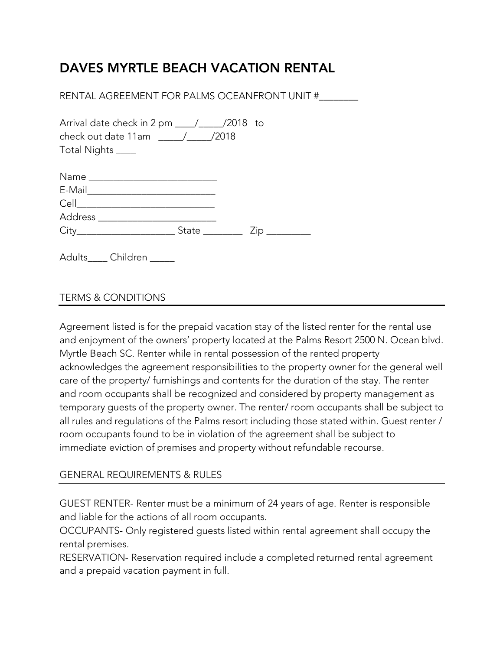## DAVES MYRTLE BEACH VACATION RENTAL

RENTAL AGREEMENT FOR PALMS OCEANFRONT UNIT #\_\_\_\_\_\_\_\_

| check out date 11am / / /2018<br>Total Nights _____ |  |     |
|-----------------------------------------------------|--|-----|
|                                                     |  |     |
|                                                     |  |     |
|                                                     |  |     |
|                                                     |  |     |
|                                                     |  | ∠ip |

Adults\_\_\_\_ Children \_\_\_\_\_

## TERMS & CONDITIONS

Agreement listed is for the prepaid vacation stay of the listed renter for the rental use and enjoyment of the owners' property located at the Palms Resort 2500 N. Ocean blvd. Myrtle Beach SC. Renter while in rental possession of the rented property acknowledges the agreement responsibilities to the property owner for the general well care of the property/ furnishings and contents for the duration of the stay. The renter and room occupants shall be recognized and considered by property management as temporary guests of the property owner. The renter/ room occupants shall be subject to all rules and regulations of the Palms resort including those stated within. Guest renter / room occupants found to be in violation of the agreement shall be subject to immediate eviction of premises and property without refundable recourse.

## GENERAL REQUIREMENTS & RULES

GUEST RENTER- Renter must be a minimum of 24 years of age. Renter is responsible and liable for the actions of all room occupants.

OCCUPANTS- Only registered guests listed within rental agreement shall occupy the rental premises.

RESERVATION- Reservation required include a completed returned rental agreement and a prepaid vacation payment in full.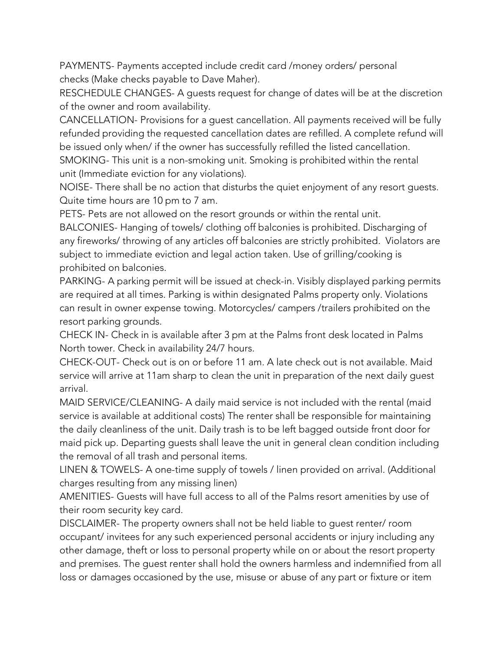PAYMENTS- Payments accepted include credit card /money orders/ personal checks (Make checks payable to Dave Maher).

RESCHEDULE CHANGES- A guests request for change of dates will be at the discretion of the owner and room availability.

CANCELLATION- Provisions for a guest cancellation. All payments received will be fully refunded providing the requested cancellation dates are refilled. A complete refund will be issued only when/ if the owner has successfully refilled the listed cancellation. SMOKING- This unit is a non-smoking unit. Smoking is prohibited within the rental unit (Immediate eviction for any violations).

NOISE- There shall be no action that disturbs the quiet enjoyment of any resort guests. Quite time hours are 10 pm to 7 am.

PETS- Pets are not allowed on the resort grounds or within the rental unit.

BALCONIES- Hanging of towels/ clothing off balconies is prohibited. Discharging of any fireworks/ throwing of any articles off balconies are strictly prohibited. Violators are subject to immediate eviction and legal action taken. Use of grilling/cooking is prohibited on balconies.

PARKING- A parking permit will be issued at check-in. Visibly displayed parking permits are required at all times. Parking is within designated Palms property only. Violations can result in owner expense towing. Motorcycles/ campers /trailers prohibited on the resort parking grounds.

CHECK IN- Check in is available after 3 pm at the Palms front desk located in Palms North tower. Check in availability 24/7 hours.

CHECK-OUT- Check out is on or before 11 am. A late check out is not available. Maid service will arrive at 11am sharp to clean the unit in preparation of the next daily guest arrival.

MAID SERVICE/CLEANING- A daily maid service is not included with the rental (maid service is available at additional costs) The renter shall be responsible for maintaining the daily cleanliness of the unit. Daily trash is to be left bagged outside front door for maid pick up. Departing guests shall leave the unit in general clean condition including the removal of all trash and personal items.

LINEN & TOWELS- A one-time supply of towels / linen provided on arrival. (Additional charges resulting from any missing linen)

AMENITIES- Guests will have full access to all of the Palms resort amenities by use of their room security key card.

DISCLAIMER- The property owners shall not be held liable to guest renter/ room occupant/ invitees for any such experienced personal accidents or injury including any other damage, theft or loss to personal property while on or about the resort property and premises. The guest renter shall hold the owners harmless and indemnified from all loss or damages occasioned by the use, misuse or abuse of any part or fixture or item